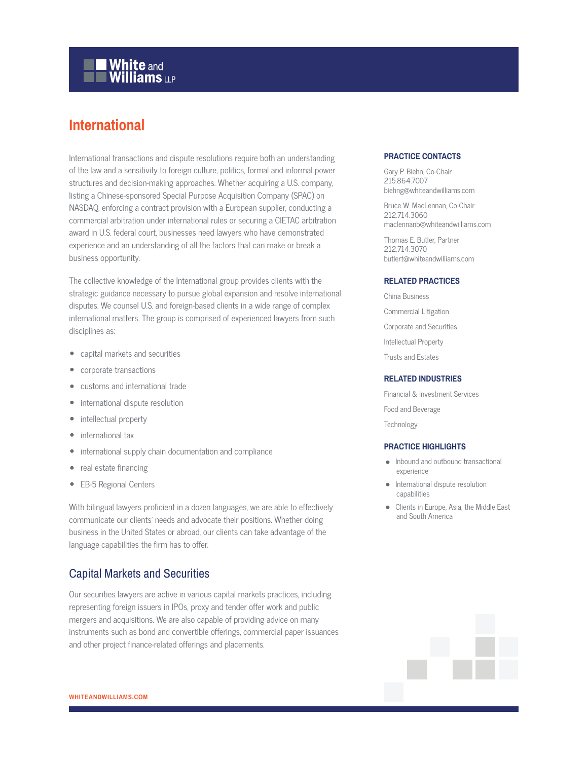# **White and Williams LLP**

## **International**

International transactions and dispute resolutions require both an understanding of the law and a sensitivity to foreign culture, politics, formal and informal power structures and decision-making approaches. Whether acquiring a U.S. company, listing a Chinese-sponsored Special Purpose Acquisition Company (SPAC) on NASDAQ, enforcing a contract provision with a European supplier, conducting a commercial arbitration under international rules or securing a CIETAC arbitration award in U.S. federal court, businesses need lawyers who have demonstrated experience and an understanding of all the factors that can make or break a business opportunity.

The collective knowledge of the International group provides clients with the strategic guidance necessary to pursue global expansion and resolve international disputes. We counsel U.S. and foreign-based clients in a wide range of complex international matters. The group is comprised of experienced lawyers from such disciplines as:

- capital markets and securities
- corporate transactions
- customs and international trade
- international dispute resolution
- intellectual property
- international tax
- international supply chain documentation and compliance
- real estate financing
- EB-5 Regional Centers

With bilingual lawyers proficient in a dozen languages, we are able to effectively communicate our clients' needs and advocate their positions. Whether doing business in the United States or abroad, our clients can take advantage of the language capabilities the firm has to offer.

## Capital Markets and Securities

Our securities lawyers are active in various capital markets practices, including representing foreign issuers in IPOs, proxy and tender offer work and public mergers and acquisitions. We are also capable of providing advice on many instruments such as bond and convertible offerings, commercial paper issuances and other project finance-related offerings and placements.

### **PRACTICE CONTACTS**

Gary P. Biehn, Co-Chair 215.864.7007 biehng@whiteandwilliams.com

Bruce W. MacLennan, Co-Chair 212.714.3060 maclennanb@whiteandwilliams.com

Thomas E. Butler, Partner 212.714.3070 butlert@whiteandwilliams.com

#### **RELATED PRACTICES**

China Business Commercial Litigation Corporate and Securities Intellectual Property Trusts and Estates

#### **RELATED INDUSTRIES**

Financial & Investment Services Food and Beverage **Technology** 

#### **PRACTICE HIGHLIGHTS**

- Inbound and outbound transactional experience
- International dispute resolution capabilities
- Clients in Europe, Asia, the Middle East and South America

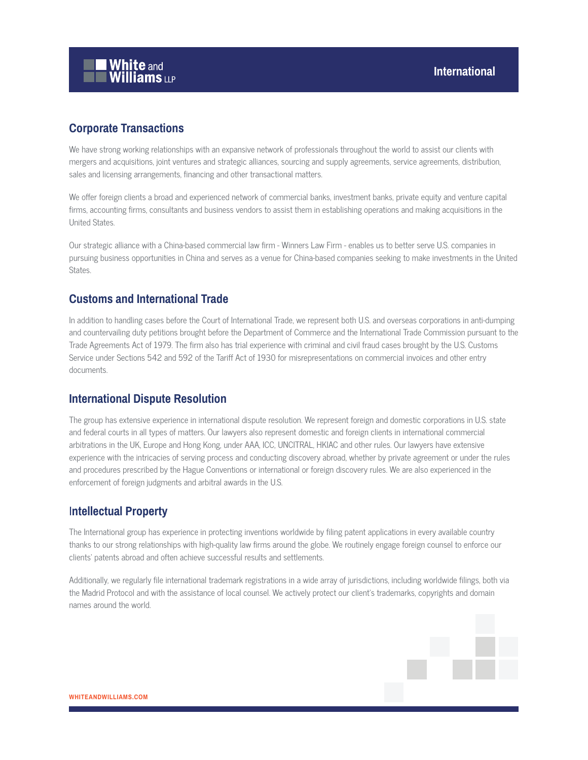

## **Corporate Transactions**

We have strong working relationships with an expansive network of professionals throughout the world to assist our clients with mergers and acquisitions, joint ventures and strategic alliances, sourcing and supply agreements, service agreements, distribution, sales and licensing arrangements, financing and other transactional matters.

We offer foreign clients a broad and experienced network of commercial banks, investment banks, private equity and venture capital firms, accounting firms, consultants and business vendors to assist them in establishing operations and making acquisitions in the United States.

Our strategic alliance with a China-based commercial law firm - Winners Law Firm - enables us to better serve U.S. companies in pursuing business opportunities in China and serves as a venue for China-based companies seeking to make investments in the United States.

## **Customs and International Trade**

In addition to handling cases before the Court of International Trade, we represent both U.S. and overseas corporations in anti-dumping and countervailing duty petitions brought before the Department of Commerce and the International Trade Commission pursuant to the Trade Agreements Act of 1979. The firm also has trial experience with criminal and civil fraud cases brought by the U.S. Customs Service under Sections 542 and 592 of the Tariff Act of 1930 for misrepresentations on commercial invoices and other entry documents.

## **International Dispute Resolution**

The group has extensive experience in international dispute resolution. We represent foreign and domestic corporations in U.S. state and federal courts in all types of matters. Our lawyers also represent domestic and foreign clients in international commercial arbitrations in the UK, Europe and Hong Kong, under AAA, ICC, UNCITRAL, HKIAC and other rules. Our lawyers have extensive experience with the intricacies of serving process and conducting discovery abroad, whether by private agreement or under the rules and procedures prescribed by the Hague Conventions or international or foreign discovery rules. We are also experienced in the enforcement of foreign judgments and arbitral awards in the U.S.

## I**ntellectual Property**

The International group has experience in protecting inventions worldwide by filing patent applications in every available country thanks to our strong relationships with high-quality law firms around the globe. We routinely engage foreign counsel to enforce our clients' patents abroad and often achieve successful results and settlements.

Additionally, we regularly file international trademark registrations in a wide array of jurisdictions, including worldwide filings, both via the Madrid Protocol and with the assistance of local counsel. We actively protect our client's trademarks, copyrights and domain names around the world.

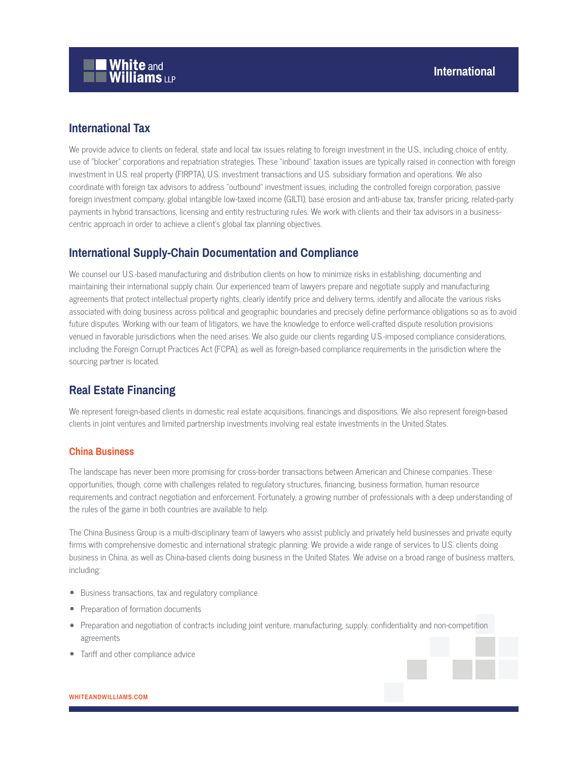## **International Tax**

We provide advice to clients on federal, state and local tax issues relating to foreign investment in the U.S., including choice of entity, use of "blocker" corporations and repatriation strategies. These "inbound" taxation issues are typically raised in connection with foreign investment in U.S. real property (FIRPTA), U.S. investment transactions and U.S. subsidiary formation and operations. We also coordinate with foreign tax advisors to address "outbound" investment issues, including the controlled foreign corporation, passive foreign investment company, global intangible low-taxed income (GILTI), base erosion and anti-abuse tax, transfer pricing, related-party payments in hybrid transactions, licensing and entity restructuring rules. We work with clients and their tax advisors in a businesscentric approach in order to achieve a client's global tax planning objectives.

## **International Supply-Chain Documentation and Compliance**

We counsel our U.S.-based manufacturing and distribution clients on how to minimize risks in establishing, documenting and maintaining their international supply chain. Our experienced team of lawyers prepare and negotiate supply and manufacturing agreements that protect intellectual property rights, clearly identify price and delivery terms, identify and allocate the various risks associated with doing business across political and geographic boundaries and precisely define performance obligations so as to avoid future disputes. Working with our team of litigators, we have the knowledge to enforce well-crafted dispute resolution provisions venued in favorable jurisdictions when the need arises. We also guide our clients regarding U.S.-imposed compliance considerations, including the Foreign Corrupt Practices Act (FCPA), as well as foreign-based compliance requirements in the jurisdiction where the sourcing partner is located.

## **Real Estate Financing**

We represent foreign-based clients in domestic real estate acquisitions, financings and dispositions. We also represent foreign-based clients in joint ventures and limited partnership investments involving real estate investments in the United States.

### **China Business**

The landscape has never been more promising for cross-border transactions between American and Chinese companies. These opportunities, though, come with challenges related to regulatory structures, financing, business formation, human resource requirements and contract negotiation and enforcement. Fortunately, a growing number of professionals with a deep understanding of the rules of the game in both countries are available to help.

The China Business Group is a multi-disciplinary team of lawyers who assist publicly and privately held businesses and private equity firms with comprehensive domestic and international strategic planning. We provide a wide range of services to U.S. clients doing business in China, as well as China-based clients doing business in the United States. We advise on a broad range of business matters, including:

- Business transactions, tax and regulatory compliance
- Preparation of formation documents
- Preparation and negotiation of contracts including joint venture, manufacturing, supply, confidentiality and non-competition agreements
- Tariff and other compliance advice

#### **WHITEANDWILLIAMS.COM**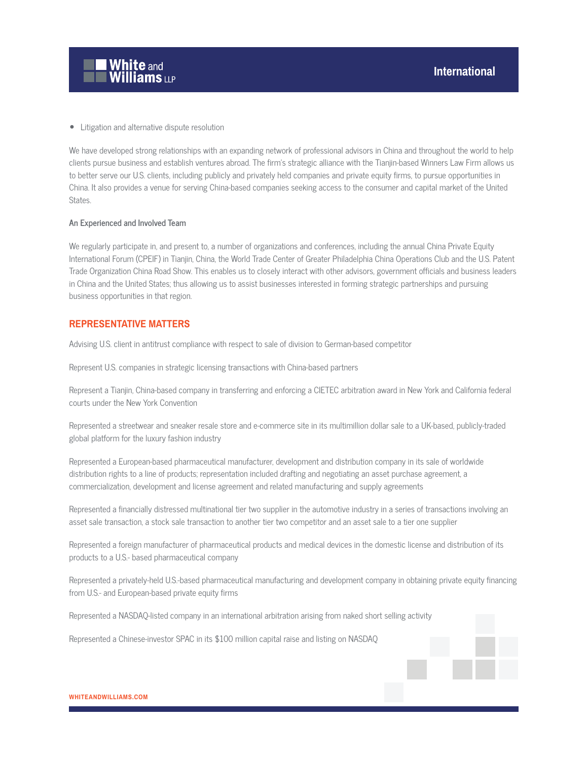

● Litigation and alternative dispute resolution

We have developed strong relationships with an expanding network of professional advisors in China and throughout the world to help clients pursue business and establish ventures abroad. The firm's strategic alliance with the Tianjin-based Winners Law Firm allows us to better serve our U.S. clients, including publicly and privately held companies and private equity firms, to pursue opportunities in China. It also provides a venue for serving China-based companies seeking access to the consumer and capital market of the United States.

#### **An Experienced and Involved Team**

We regularly participate in, and present to, a number of organizations and conferences, including the annual China Private Equity International Forum (CPEIF) in Tianjin, China, the World Trade Center of Greater Philadelphia China Operations Club and the U.S. Patent Trade Organization China Road Show. This enables us to closely interact with other advisors, government officials and business leaders in China and the United States; thus allowing us to assist businesses interested in forming strategic partnerships and pursuing business opportunities in that region.

#### **REPRESENTATIVE MATTERS**

Advising U.S. client in antitrust compliance with respect to sale of division to German-based competitor

Represent U.S. companies in strategic licensing transactions with China-based partners

Represent a Tianjin, China-based company in transferring and enforcing a CIETEC arbitration award in New York and California federal courts under the New York Convention

Represented a streetwear and sneaker resale store and e-commerce site in its multimillion dollar sale to a UK-based, publicly-traded global platform for the luxury fashion industry

Represented a European-based pharmaceutical manufacturer, development and distribution company in its sale of worldwide distribution rights to a line of products; representation included drafting and negotiating an asset purchase agreement, a commercialization, development and license agreement and related manufacturing and supply agreements

Represented a financially distressed multinational tier two supplier in the automotive industry in a series of transactions involving an asset sale transaction, a stock sale transaction to another tier two competitor and an asset sale to a tier one supplier

Represented a foreign manufacturer of pharmaceutical products and medical devices in the domestic license and distribution of its products to a U.S.- based pharmaceutical company

Represented a privately-held U.S.-based pharmaceutical manufacturing and development company in obtaining private equity financing from U.S.- and European-based private equity firms

Represented a NASDAQ-listed company in an international arbitration arising from naked short selling activity

Represented a Chinese-investor SPAC in its \$100 million capital raise and listing on NASDAQ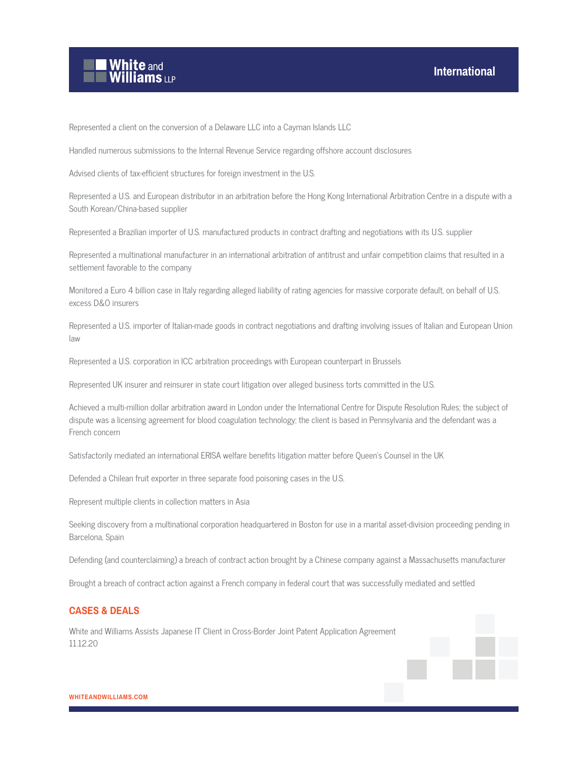

Represented a client on the conversion of a Delaware LLC into a Cayman Islands LLC

Handled numerous submissions to the Internal Revenue Service regarding offshore account disclosures

Advised clients of tax-efficient structures for foreign investment in the U.S.

Represented a U.S. and European distributor in an arbitration before the Hong Kong International Arbitration Centre in a dispute with a South Korean/China-based supplier

Represented a Brazilian importer of U.S. manufactured products in contract drafting and negotiations with its U.S. supplier

Represented a multinational manufacturer in an international arbitration of antitrust and unfair competition claims that resulted in a settlement favorable to the company

Monitored a Euro 4 billion case in Italy regarding alleged liability of rating agencies for massive corporate default, on behalf of U.S. excess D&O insurers

Represented a U.S. importer of Italian-made goods in contract negotiations and drafting involving issues of Italian and European Union law

Represented a U.S. corporation in ICC arbitration proceedings with European counterpart in Brussels

Represented UK insurer and reinsurer in state court litigation over alleged business torts committed in the U.S.

Achieved a multi-million dollar arbitration award in London under the International Centre for Dispute Resolution Rules; the subject of dispute was a licensing agreement for blood coagulation technology; the client is based in Pennsylvania and the defendant was a French concern

Satisfactorily mediated an international ERISA welfare benefits litigation matter before Queen's Counsel in the UK

Defended a Chilean fruit exporter in three separate food poisoning cases in the U.S.

Represent multiple clients in collection matters in Asia

Seeking discovery from a multinational corporation headquartered in Boston for use in a marital asset-division proceeding pending in Barcelona, Spain

Defending (and counterclaiming) a breach of contract action brought by a Chinese company against a Massachusetts manufacturer

Brought a breach of contract action against a French company in federal court that was successfully mediated and settled

#### **CASES & DEALS**

White and Williams Assists Japanese IT Client in Cross-Border Joint Patent Application Agreement 11.12.20

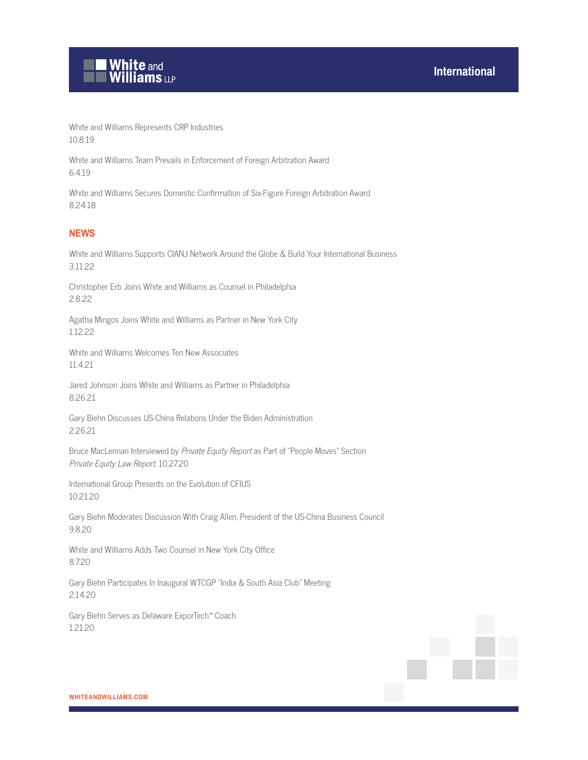

White and Williams Represents CRP Industries 10.8.19

White and Williams Team Prevails in Enforcement of Foreign Arbitration Award 6.4.19

White and Williams Secures Domestic Confirmation of Six-Figure Foreign Arbitration Award 8.24.18

### **NEWS**

White and Williams Supports CIANJ Network Around the Globe & Build Your International Business 3.11.22

Christopher Erb Joins White and Williams as Counsel in Philadelphia 2.8.22

Agatha Mingos Joins White and Williams as Partner in New York City 1.12.22

White and Williams Welcomes Ten New Associates 11.4.21

Jared Johnson Joins White and Williams as Partner in Philadelphia 8.26.21

Gary Biehn Discusses US-China Relations Under the Biden Administration 2.26.21

Bruce MacLennan Interviewed by Private Equity Report as Part of "People Moves" Section Private Equity Law Report, 10.27.20

International Group Presents on the Evolution of CFIUS 10.21.20

Gary Biehn Moderates Discussion With Craig Allen, President of the US-China Business Council 9.8.20

White and Williams Adds Two Counsel in New York City Office 8.7.20

Gary Biehn Participates In Inaugural WTCGP "India & South Asia Club" Meeting 2.14.20

Gary Biehn Serves as Delaware ExporTech™ Coach 1.21.20

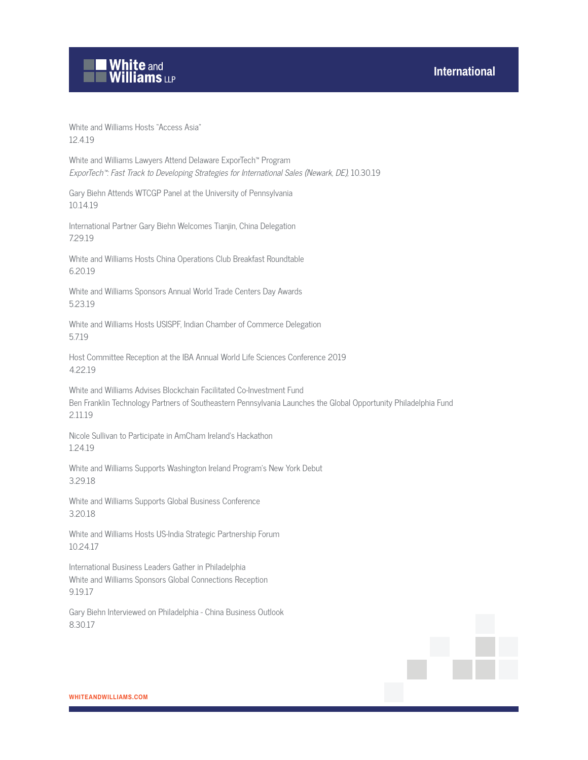## **International**



White and Williams Hosts "Access Asia" 12.4.19

White and Williams Lawyers Attend Delaware ExporTech™ Program ExporTech™: Fast Track to Developing Strategies for International Sales (Newark, DE), 10.30.19

Gary Biehn Attends WTCGP Panel at the University of Pennsylvania 10.14.19

International Partner Gary Biehn Welcomes Tianjin, China Delegation 7.29.19

White and Williams Hosts China Operations Club Breakfast Roundtable 6.20.19

White and Williams Sponsors Annual World Trade Centers Day Awards 5.23.19

White and Williams Hosts USISPF, Indian Chamber of Commerce Delegation 5.7.19

Host Committee Reception at the IBA Annual World Life Sciences Conference 2019 4.22.19

White and Williams Advises Blockchain Facilitated Co-Investment Fund Ben Franklin Technology Partners of Southeastern Pennsylvania Launches the Global Opportunity Philadelphia Fund 2.11.19

Nicole Sullivan to Participate in AmCham Ireland's Hackathon 1.24.19

White and Williams Supports Washington Ireland Program's New York Debut 3.29.18

White and Williams Supports Global Business Conference 3.20.18

White and Williams Hosts US-India Strategic Partnership Forum 10.24.17

International Business Leaders Gather in Philadelphia White and Williams Sponsors Global Connections Reception 9.19.17

Gary Biehn Interviewed on Philadelphia - China Business Outlook 8.30.17

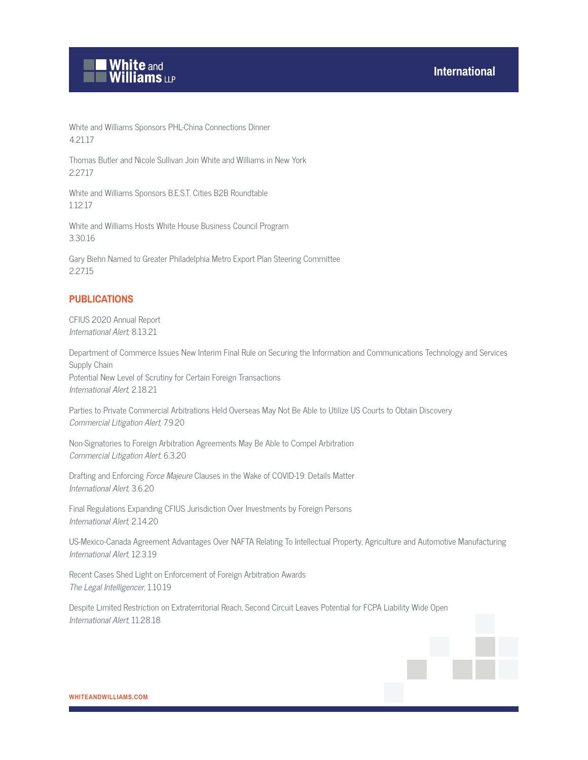

White and Williams Sponsors PHL-China Connections Dinner 4.21.17

Thomas Butler and Nicole Sullivan Join White and Williams in New York 2.27.17

White and Williams Sponsors B.E.S.T. Cities B2B Roundtable 1.12.17

White and Williams Hosts White House Business Council Program 3.30.16

Gary Biehn Named to Greater Philadelphia Metro Export Plan Steering Committee 2.27.15

#### **PUBLICATIONS**

CFIUS 2020 Annual Report International Alert, 8.13.21

Department of Commerce Issues New Interim Final Rule on Securing the Information and Communications Technology and Services Supply Chain Potential New Level of Scrutiny for Certain Foreign Transactions International Alert, 2.18.21

Parties to Private Commercial Arbitrations Held Overseas May Not Be Able to Utilize US Courts to Obtain Discovery Commercial Litigation Alert, 7.9.20

Non-Signatories to Foreign Arbitration Agreements May Be Able to Compel Arbitration Commercial Litigation Alert, 6.3.20

Drafting and Enforcing Force Majeure Clauses in the Wake of COVID-19: Details Matter International Alert, 3.6.20

Final Regulations Expanding CFIUS Jurisdiction Over Investments by Foreign Persons International Alert, 2.14.20

US-Mexico-Canada Agreement Advantages Over NAFTA Relating To Intellectual Property, Agriculture and Automotive Manufacturing International Alert, 12.3.19

Recent Cases Shed Light on Enforcement of Foreign Arbitration Awards The Legal Intelligencer, 1.10.19

Despite Limited Restriction on Extraterritorial Reach, Second Circuit Leaves Potential for FCPA Liability Wide Open International Alert, 11.28.18

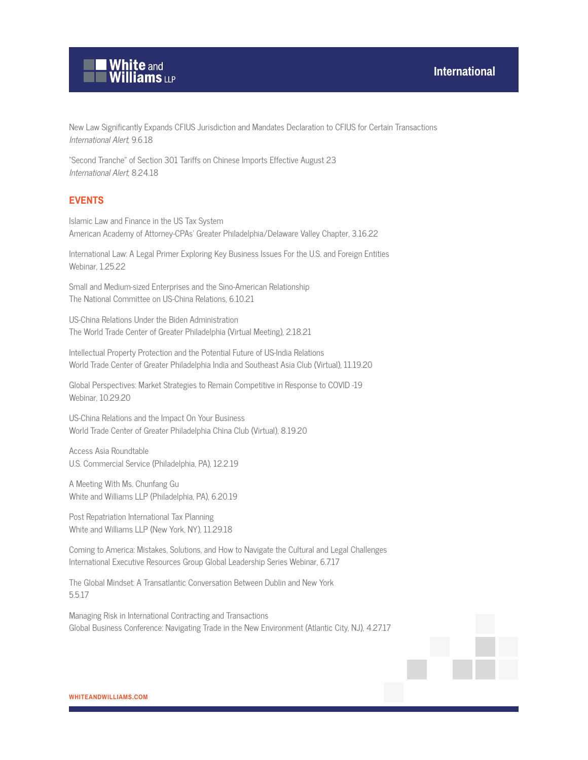

New Law Significantly Expands CFIUS Jurisdiction and Mandates Declaration to CFIUS for Certain Transactions International Alert, 9.6.18

"Second Tranche" of Section 301 Tariffs on Chinese Imports Effective August 23 International Alert, 8.24.18

## **EVENTS**

Islamic Law and Finance in the US Tax System American Academy of Attorney-CPAs' Greater Philadelphia/Delaware Valley Chapter, 3.16.22

International Law: A Legal Primer Exploring Key Business Issues For the U.S. and Foreign Entities Webinar, 1.25.22

Small and Medium-sized Enterprises and the Sino-American Relationship The National Committee on US-China Relations, 6.10.21

US-China Relations Under the Biden Administration The World Trade Center of Greater Philadelphia (Virtual Meeting), 2.18.21

Intellectual Property Protection and the Potential Future of US-India Relations World Trade Center of Greater Philadelphia India and Southeast Asia Club (Virtual), 11.19.20

Global Perspectives: Market Strategies to Remain Competitive in Response to COVID -19 Webinar, 10.29.20

US-China Relations and the Impact On Your Business World Trade Center of Greater Philadelphia China Club (Virtual), 8.19.20

Access Asia Roundtable U.S. Commercial Service (Philadelphia, PA), 12.2.19

A Meeting With Ms. Chunfang Gu White and Williams LLP (Philadelphia, PA), 6.20.19

Post Repatriation International Tax Planning White and Williams LLP (New York, NY), 11.29.18

Coming to America: Mistakes, Solutions, and How to Navigate the Cultural and Legal Challenges International Executive Resources Group Global Leadership Series Webinar, 6.7.17

The Global Mindset: A Transatlantic Conversation Between Dublin and New York 5.5.17

Managing Risk in International Contracting and Transactions Global Business Conference: Navigating Trade in the New Environment (Atlantic City, NJ), 4.27.17